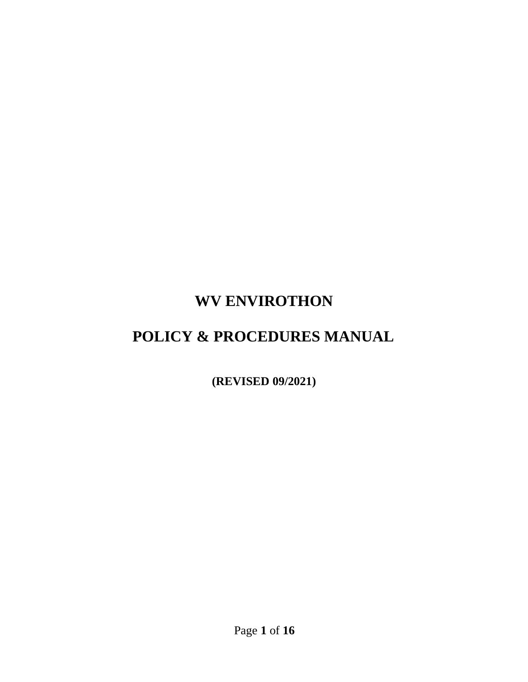# **WV ENVIROTHON**

# **POLICY & PROCEDURES MANUAL**

**(REVISED 09/2021)**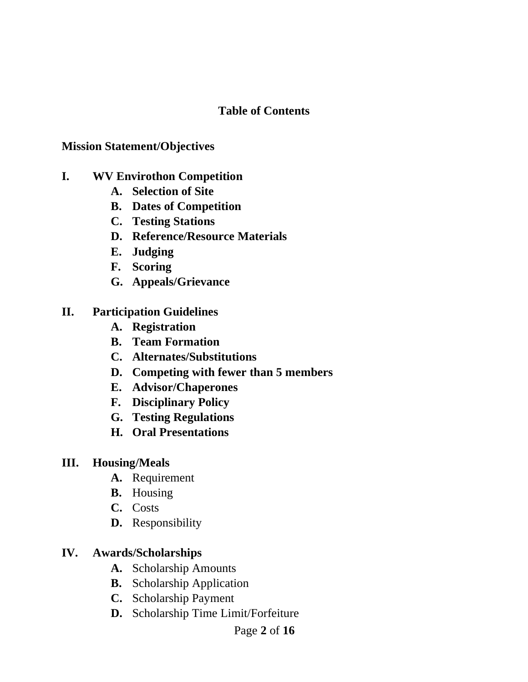#### **Table of Contents**

#### **Mission Statement/Objectives**

- **I. WV Envirothon Competition** 
	- **A. Selection of Site**
	- **B. Dates of Competition**
	- **C. Testing Stations**
	- **D. Reference/Resource Materials**
	- **E. Judging**
	- **F. Scoring**
	- **G. Appeals/Grievance**

#### **II. Participation Guidelines**

- **A. Registration**
- **B. Team Formation**
- **C. Alternates/Substitutions**
- **D. Competing with fewer than 5 members**
- **E. Advisor/Chaperones**
- **F. Disciplinary Policy**
- **G. Testing Regulations**
- **H. Oral Presentations**

#### **III. Housing/Meals**

- **A.** Requirement
- **B.** Housing
- **C.** Costs
- **D.** Responsibility

#### **IV. Awards/Scholarships**

- **A.** Scholarship Amounts
- **B.** Scholarship Application
- **C.** Scholarship Payment
- **D.** Scholarship Time Limit/Forfeiture
	- Page **2** of **16**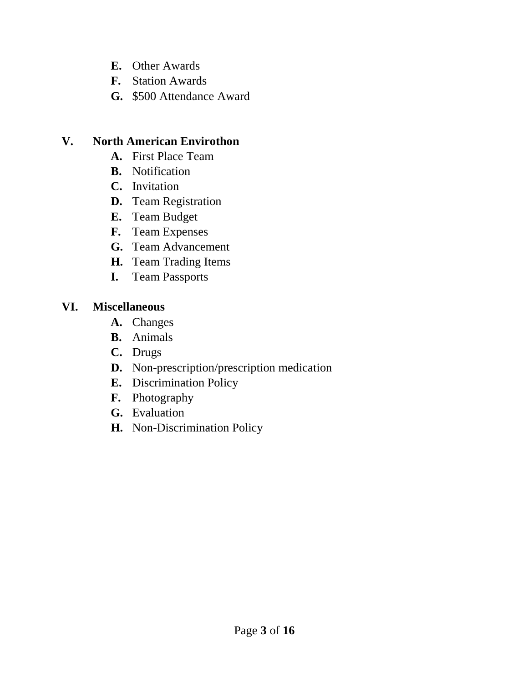- **E.** Other Awards
- **F.** Station Awards
- **G.** \$500 Attendance Award

#### **V. North American Envirothon**

- **A.** First Place Team
- **B.** Notification
- **C.** Invitation
- **D.** Team Registration
- **E.** Team Budget
- **F.** Team Expenses
- **G.** Team Advancement
- **H.** Team Trading Items
- **I.** Team Passports

#### **VI. Miscellaneous**

- **A.** Changes
- **B.** Animals
- **C.** Drugs
- **D.** Non-prescription/prescription medication
- **E.** Discrimination Policy
- **F.** Photography
- **G.** Evaluation
- **H.** Non-Discrimination Policy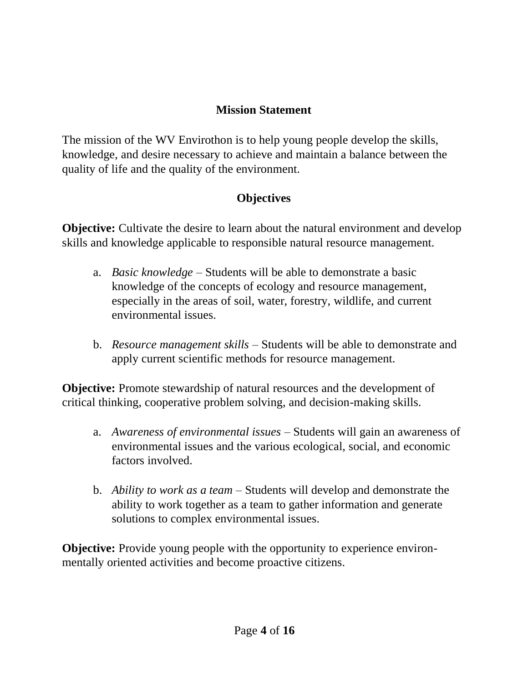## **Mission Statement**

The mission of the WV Envirothon is to help young people develop the skills, knowledge, and desire necessary to achieve and maintain a balance between the quality of life and the quality of the environment.

## **Objectives**

**Objective:** Cultivate the desire to learn about the natural environment and develop skills and knowledge applicable to responsible natural resource management.

- a. *Basic knowledge*  Students will be able to demonstrate a basic knowledge of the concepts of ecology and resource management, especially in the areas of soil, water, forestry, wildlife, and current environmental issues.
- b. *Resource management skills –* Students will be able to demonstrate and apply current scientific methods for resource management.

**Objective:** Promote stewardship of natural resources and the development of critical thinking, cooperative problem solving, and decision-making skills.

- a. *Awareness of environmental issues –* Students will gain an awareness of environmental issues and the various ecological, social, and economic factors involved.
- b. *Ability to work as a team –* Students will develop and demonstrate the ability to work together as a team to gather information and generate solutions to complex environmental issues.

**Objective:** Provide young people with the opportunity to experience environmentally oriented activities and become proactive citizens.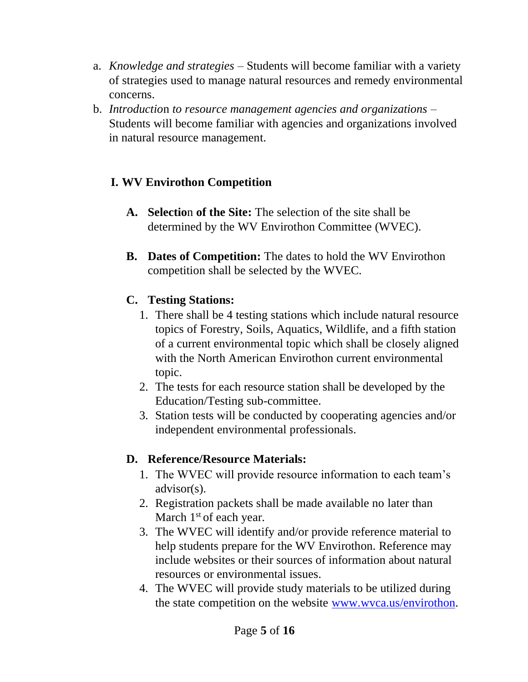- a. *Knowledge and strategies –* Students will become familiar with a variety of strategies used to manage natural resources and remedy environmental concerns.
- b. *Introductio*n *to resource management agencies and organizations –* Students will become familiar with agencies and organizations involved in natural resource management.

## **I. WV Envirothon Competition**

- **A. Selectio**n **of the Site:** The selection of the site shall be determined by the WV Envirothon Committee (WVEC).
- **B. Dates of Competition:** The dates to hold the WV Envirothon competition shall be selected by the WVEC.

#### **C. Testing Stations:**

- 1. There shall be 4 testing stations which include natural resource topics of Forestry, Soils, Aquatics, Wildlife, and a fifth station of a current environmental topic which shall be closely aligned with the North American Envirothon current environmental topic.
- 2. The tests for each resource station shall be developed by the Education/Testing sub-committee.
- 3. Station tests will be conducted by cooperating agencies and/or independent environmental professionals.

#### **D. Reference/Resource Materials:**

- 1. The WVEC will provide resource information to each team's advisor(s).
- 2. Registration packets shall be made available no later than March  $1<sup>st</sup>$  of each year.
- 3. The WVEC will identify and/or provide reference material to help students prepare for the WV Envirothon. Reference may include websites or their sources of information about natural resources or environmental issues.
- 4. The WVEC will provide study materials to be utilized during the state competition on the website [www.wvca.us/envirothon.](http://www.wvca.us/envirothon)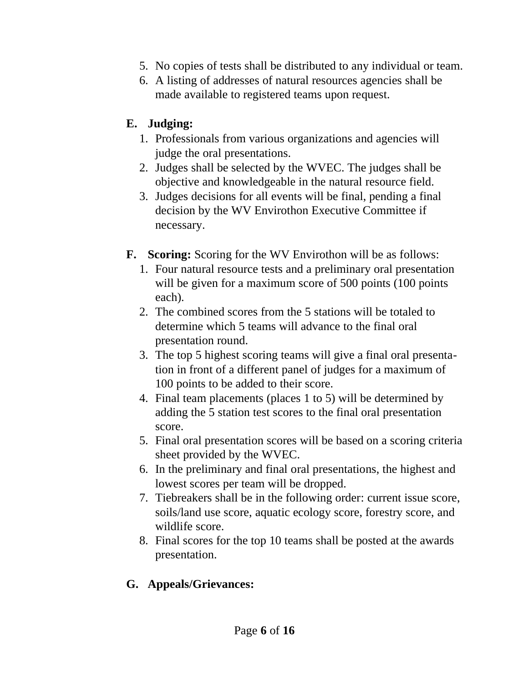- 5. No copies of tests shall be distributed to any individual or team.
- 6. A listing of addresses of natural resources agencies shall be made available to registered teams upon request.

## **E. Judging:**

- 1. Professionals from various organizations and agencies will judge the oral presentations.
- 2. Judges shall be selected by the WVEC. The judges shall be objective and knowledgeable in the natural resource field.
- 3. Judges decisions for all events will be final, pending a final decision by the WV Envirothon Executive Committee if necessary.
- **F. Scoring:** Scoring for the WV Envirothon will be as follows:
	- 1. Four natural resource tests and a preliminary oral presentation will be given for a maximum score of 500 points (100 points) each).
	- 2. The combined scores from the 5 stations will be totaled to determine which 5 teams will advance to the final oral presentation round.
	- 3. The top 5 highest scoring teams will give a final oral presentation in front of a different panel of judges for a maximum of 100 points to be added to their score.
	- 4. Final team placements (places 1 to 5) will be determined by adding the 5 station test scores to the final oral presentation score.
	- 5. Final oral presentation scores will be based on a scoring criteria sheet provided by the WVEC.
	- 6. In the preliminary and final oral presentations, the highest and lowest scores per team will be dropped.
	- 7. Tiebreakers shall be in the following order: current issue score, soils/land use score, aquatic ecology score, forestry score, and wildlife score.
	- 8. Final scores for the top 10 teams shall be posted at the awards presentation.

## **G. Appeals/Grievances:**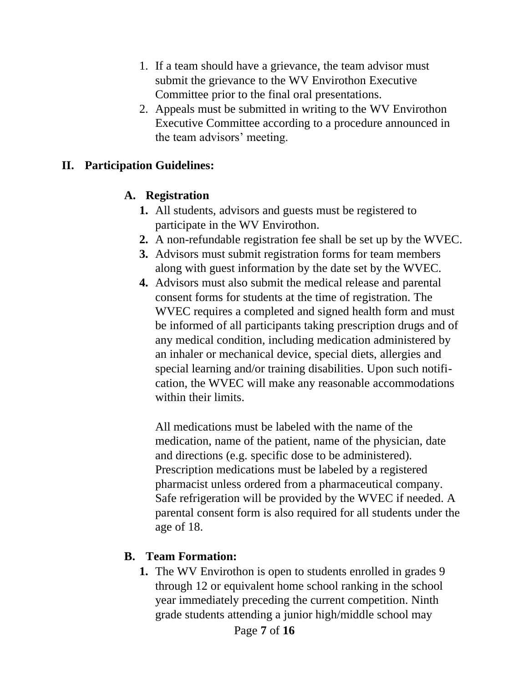- 1. If a team should have a grievance, the team advisor must submit the grievance to the WV Envirothon Executive Committee prior to the final oral presentations.
- 2. Appeals must be submitted in writing to the WV Envirothon Executive Committee according to a procedure announced in the team advisors' meeting.

#### **II. Participation Guidelines:**

#### **A. Registration**

- **1.** All students, advisors and guests must be registered to participate in the WV Envirothon.
- **2.** A non-refundable registration fee shall be set up by the WVEC.
- **3.** Advisors must submit registration forms for team members along with guest information by the date set by the WVEC.
- **4.** Advisors must also submit the medical release and parental consent forms for students at the time of registration. The WVEC requires a completed and signed health form and must be informed of all participants taking prescription drugs and of any medical condition, including medication administered by an inhaler or mechanical device, special diets, allergies and special learning and/or training disabilities. Upon such notification, the WVEC will make any reasonable accommodations within their limits.

All medications must be labeled with the name of the medication, name of the patient, name of the physician, date and directions (e.g. specific dose to be administered). Prescription medications must be labeled by a registered pharmacist unless ordered from a pharmaceutical company. Safe refrigeration will be provided by the WVEC if needed. A parental consent form is also required for all students under the age of 18.

#### **B. Team Formation:**

**1.** The WV Envirothon is open to students enrolled in grades 9 through 12 or equivalent home school ranking in the school year immediately preceding the current competition. Ninth grade students attending a junior high/middle school may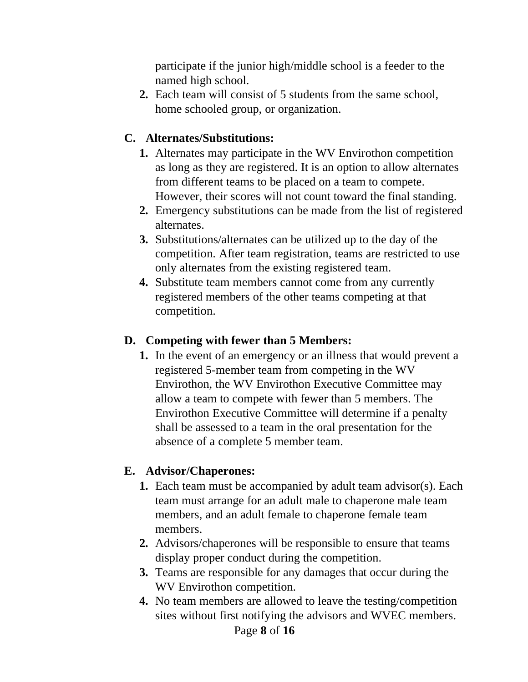participate if the junior high/middle school is a feeder to the named high school.

**2.** Each team will consist of 5 students from the same school, home schooled group, or organization.

## **C. Alternates/Substitutions:**

- **1.** Alternates may participate in the WV Envirothon competition as long as they are registered. It is an option to allow alternates from different teams to be placed on a team to compete. However, their scores will not count toward the final standing.
- **2.** Emergency substitutions can be made from the list of registered alternates.
- **3.** Substitutions/alternates can be utilized up to the day of the competition. After team registration, teams are restricted to use only alternates from the existing registered team.
- **4.** Substitute team members cannot come from any currently registered members of the other teams competing at that competition.

#### **D. Competing with fewer than 5 Members:**

**1.** In the event of an emergency or an illness that would prevent a registered 5-member team from competing in the WV Envirothon, the WV Envirothon Executive Committee may allow a team to compete with fewer than 5 members. The Envirothon Executive Committee will determine if a penalty shall be assessed to a team in the oral presentation for the absence of a complete 5 member team.

#### **E. Advisor/Chaperones:**

- **1.** Each team must be accompanied by adult team advisor(s). Each team must arrange for an adult male to chaperone male team members, and an adult female to chaperone female team members.
- **2.** Advisors/chaperones will be responsible to ensure that teams display proper conduct during the competition.
- **3.** Teams are responsible for any damages that occur during the WV Envirothon competition.
- **4.** No team members are allowed to leave the testing/competition sites without first notifying the advisors and WVEC members.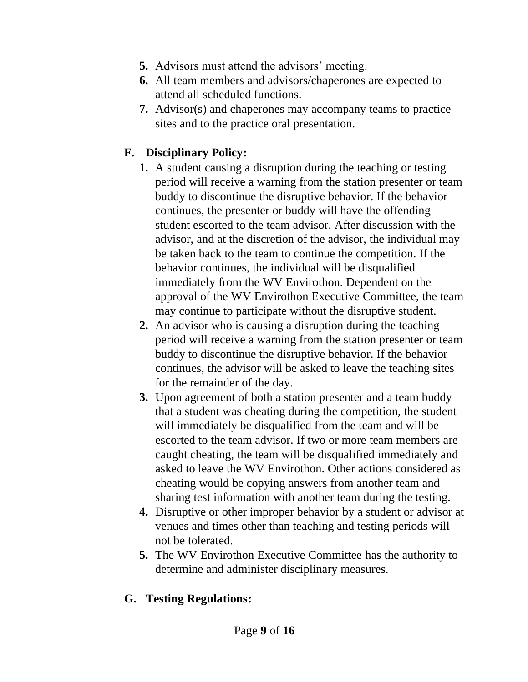- **5.** Advisors must attend the advisors' meeting.
- **6.** All team members and advisors/chaperones are expected to attend all scheduled functions.
- **7.** Advisor(s) and chaperones may accompany teams to practice sites and to the practice oral presentation.

## **F. Disciplinary Policy:**

- **1.** A student causing a disruption during the teaching or testing period will receive a warning from the station presenter or team buddy to discontinue the disruptive behavior. If the behavior continues, the presenter or buddy will have the offending student escorted to the team advisor. After discussion with the advisor, and at the discretion of the advisor, the individual may be taken back to the team to continue the competition. If the behavior continues, the individual will be disqualified immediately from the WV Envirothon. Dependent on the approval of the WV Envirothon Executive Committee, the team may continue to participate without the disruptive student.
- **2.** An advisor who is causing a disruption during the teaching period will receive a warning from the station presenter or team buddy to discontinue the disruptive behavior. If the behavior continues, the advisor will be asked to leave the teaching sites for the remainder of the day.
- **3.** Upon agreement of both a station presenter and a team buddy that a student was cheating during the competition, the student will immediately be disqualified from the team and will be escorted to the team advisor. If two or more team members are caught cheating, the team will be disqualified immediately and asked to leave the WV Envirothon. Other actions considered as cheating would be copying answers from another team and sharing test information with another team during the testing.
- **4.** Disruptive or other improper behavior by a student or advisor at venues and times other than teaching and testing periods will not be tolerated.
- **5.** The WV Envirothon Executive Committee has the authority to determine and administer disciplinary measures.

#### **G. Testing Regulations:**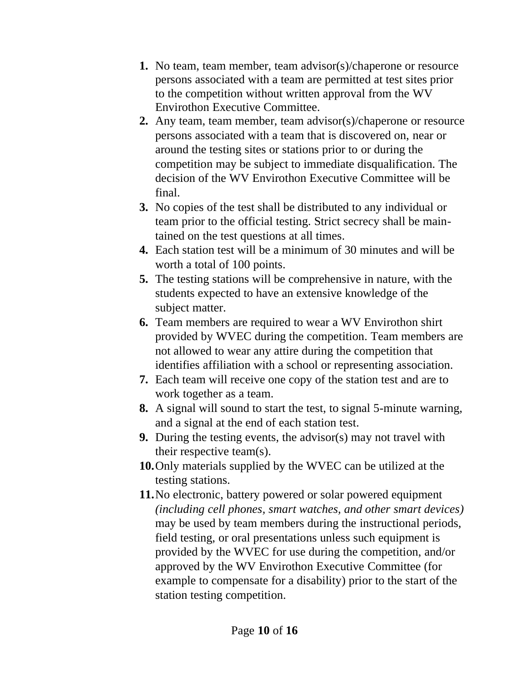- **1.** No team, team member, team advisor(s)/chaperone or resource persons associated with a team are permitted at test sites prior to the competition without written approval from the WV Envirothon Executive Committee.
- **2.** Any team, team member, team advisor(s)/chaperone or resource persons associated with a team that is discovered on, near or around the testing sites or stations prior to or during the competition may be subject to immediate disqualification. The decision of the WV Envirothon Executive Committee will be final.
- **3.** No copies of the test shall be distributed to any individual or team prior to the official testing. Strict secrecy shall be maintained on the test questions at all times.
- **4.** Each station test will be a minimum of 30 minutes and will be worth a total of 100 points.
- **5.** The testing stations will be comprehensive in nature, with the students expected to have an extensive knowledge of the subject matter.
- **6.** Team members are required to wear a WV Envirothon shirt provided by WVEC during the competition. Team members are not allowed to wear any attire during the competition that identifies affiliation with a school or representing association.
- **7.** Each team will receive one copy of the station test and are to work together as a team.
- **8.** A signal will sound to start the test, to signal 5-minute warning, and a signal at the end of each station test.
- **9.** During the testing events, the advisor(s) may not travel with their respective team(s).
- **10.**Only materials supplied by the WVEC can be utilized at the testing stations.
- **11.**No electronic, battery powered or solar powered equipment *(including cell phones, smart watches, and other smart devices)*  may be used by team members during the instructional periods, field testing, or oral presentations unless such equipment is provided by the WVEC for use during the competition, and/or approved by the WV Envirothon Executive Committee (for example to compensate for a disability) prior to the start of the station testing competition.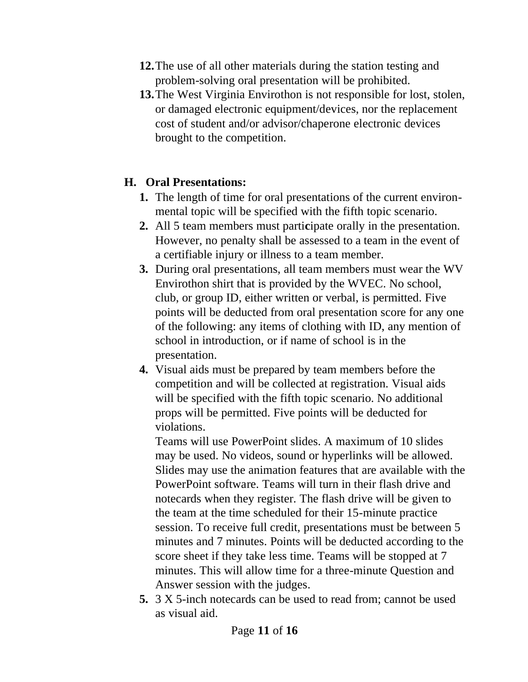- **12.**The use of all other materials during the station testing and problem-solving oral presentation will be prohibited.
- **13.**The West Virginia Envirothon is not responsible for lost, stolen, or damaged electronic equipment/devices, nor the replacement cost of student and/or advisor/chaperone electronic devices brought to the competition.

#### **H. Oral Presentations:**

- **1.** The length of time for oral presentations of the current environmental topic will be specified with the fifth topic scenario.
- **2.** All 5 team members must parti**c**ipate orally in the presentation. However, no penalty shall be assessed to a team in the event of a certifiable injury or illness to a team member.
- **3.** During oral presentations, all team members must wear the WV Envirothon shirt that is provided by the WVEC. No school, club, or group ID, either written or verbal, is permitted. Five points will be deducted from oral presentation score for any one of the following: any items of clothing with ID, any mention of school in introduction, or if name of school is in the presentation.
- **4.** Visual aids must be prepared by team members before the competition and will be collected at registration. Visual aids will be specified with the fifth topic scenario. No additional props will be permitted. Five points will be deducted for violations.

Teams will use PowerPoint slides. A maximum of 10 slides may be used. No videos, sound or hyperlinks will be allowed. Slides may use the animation features that are available with the PowerPoint software. Teams will turn in their flash drive and notecards when they register. The flash drive will be given to the team at the time scheduled for their 15-minute practice session. To receive full credit, presentations must be between 5 minutes and 7 minutes. Points will be deducted according to the score sheet if they take less time. Teams will be stopped at 7 minutes. This will allow time for a three-minute Question and Answer session with the judges.

**5.** 3 X 5-inch notecards can be used to read from; cannot be used as visual aid.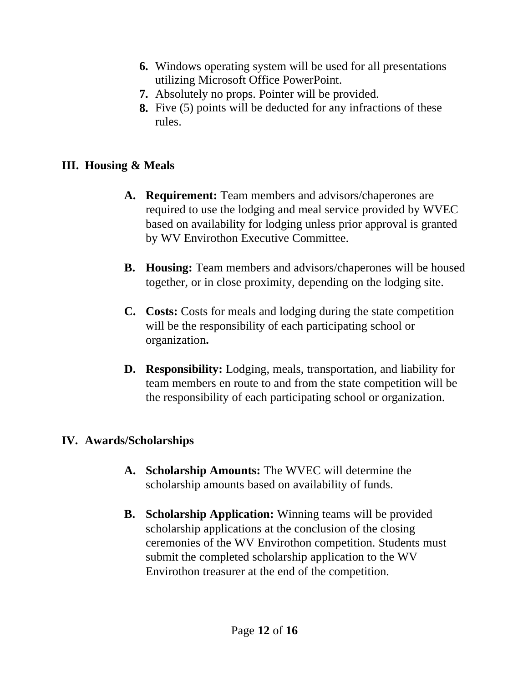- **6.** Windows operating system will be used for all presentations utilizing Microsoft Office PowerPoint.
- **7.** Absolutely no props. Pointer will be provided.
- **8.** Five (5) points will be deducted for any infractions of these rules.

## **III. Housing & Meals**

- **A. Requirement:** Team members and advisors/chaperones are required to use the lodging and meal service provided by WVEC based on availability for lodging unless prior approval is granted by WV Envirothon Executive Committee.
- **B. Housing:** Team members and advisors/chaperones will be housed together, or in close proximity, depending on the lodging site.
- **C. Costs:** Costs for meals and lodging during the state competition will be the responsibility of each participating school or organization**.**
- **D. Responsibility:** Lodging, meals, transportation, and liability for team members en route to and from the state competition will be the responsibility of each participating school or organization.

## **IV. Awards/Scholarships**

- **A. Scholarship Amounts:** The WVEC will determine the scholarship amounts based on availability of funds.
- **B. Scholarship Application:** Winning teams will be provided scholarship applications at the conclusion of the closing ceremonies of the WV Envirothon competition. Students must submit the completed scholarship application to the WV Envirothon treasurer at the end of the competition.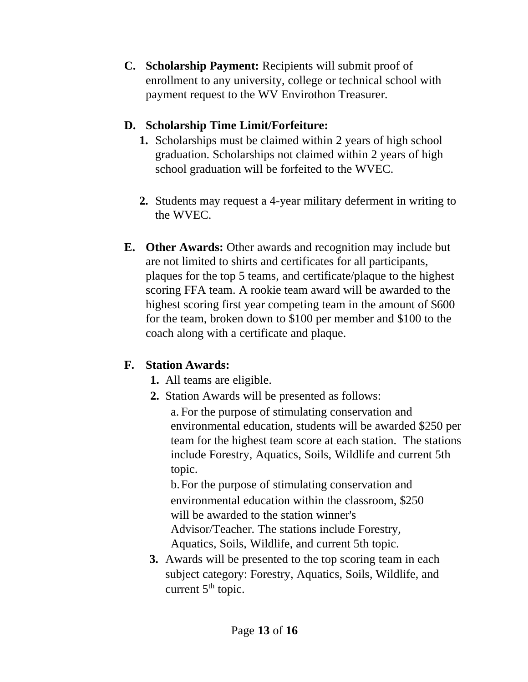**C. Scholarship Payment:** Recipients will submit proof of enrollment to any university, college or technical school with payment request to the WV Envirothon Treasurer.

## **D. Scholarship Time Limit/Forfeiture:**

- **1.** Scholarships must be claimed within 2 years of high school graduation. Scholarships not claimed within 2 years of high school graduation will be forfeited to the WVEC.
- **2.** Students may request a 4-year military deferment in writing to the WVEC.
- **E. Other Awards:** Other awards and recognition may include but are not limited to shirts and certificates for all participants, plaques for the top 5 teams, and certificate/plaque to the highest scoring FFA team. A rookie team award will be awarded to the highest scoring first year competing team in the amount of \$600 for the team, broken down to \$100 per member and \$100 to the coach along with a certificate and plaque.

# **F. Station Awards:**

- **1.** All teams are eligible.
- **2.** Station Awards will be presented as follows:

a. For the purpose of stimulating conservation and environmental education, students will be awarded \$250 per team for the highest team score at each station. The stations include Forestry, Aquatics, Soils, Wildlife and current 5th topic.

b.For the purpose of stimulating conservation and environmental education within the classroom, \$250 will be awarded to the station winner's Advisor/Teacher. The stations include Forestry, Aquatics, Soils, Wildlife, and current 5th topic.

**3.** Awards will be presented to the top scoring team in each subject category: Forestry, Aquatics, Soils, Wildlife, and current  $5<sup>th</sup>$  topic.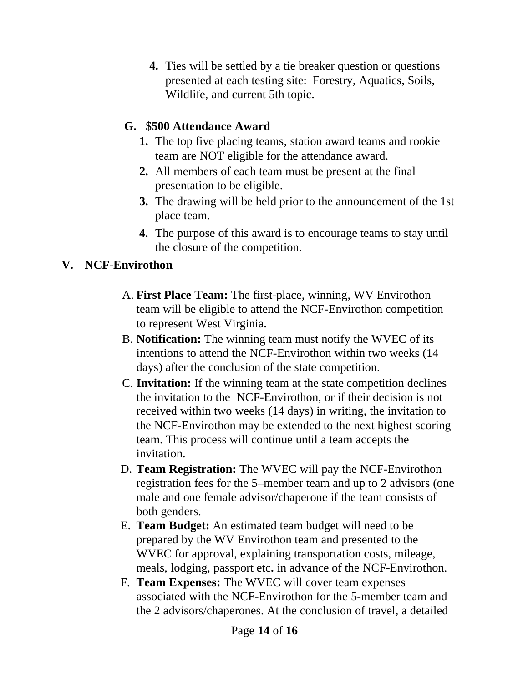**4.** Ties will be settled by a tie breaker question or questions presented at each testing site: Forestry, Aquatics, Soils, Wildlife, and current 5th topic.

## **G.** \$**500 Attendance Award**

- **1.** The top five placing teams, station award teams and rookie team are NOT eligible for the attendance award.
- **2.** All members of each team must be present at the final presentation to be eligible.
- **3.** The drawing will be held prior to the announcement of the 1st place team.
- **4.** The purpose of this award is to encourage teams to stay until the closure of the competition.

## **V. NCF-Envirothon**

- A. **First Place Team:** The first-place, winning, WV Envirothon team will be eligible to attend the NCF-Envirothon competition to represent West Virginia.
- B. **Notification:** The winning team must notify the WVEC of its intentions to attend the NCF-Envirothon within two weeks (14 days) after the conclusion of the state competition.
- C. **Invitation:** If the winning team at the state competition declines the invitation to the NCF-Envirothon, or if their decision is not received within two weeks (14 days) in writing, the invitation to the NCF-Envirothon may be extended to the next highest scoring team. This process will continue until a team accepts the invitation.
- D. **Team Registration:** The WVEC will pay the NCF-Envirothon registration fees for the 5–member team and up to 2 advisors (one male and one female advisor/chaperone if the team consists of both genders.
- E. **Team Budget:** An estimated team budget will need to be prepared by the WV Envirothon team and presented to the WVEC for approval, explaining transportation costs, mileage, meals, lodging, passport etc**.** in advance of the NCF-Envirothon.
- F. **Team Expenses:** The WVEC will cover team expenses associated with the NCF-Envirothon for the 5-member team and the 2 advisors/chaperones. At the conclusion of travel, a detailed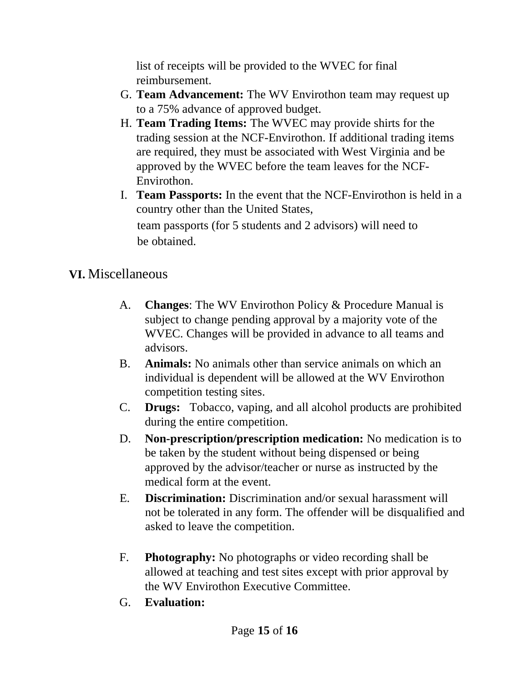list of receipts will be provided to the WVEC for final reimbursement.

- G. **Team Advancement:** The WV Envirothon team may request up to a 75% advance of approved budget.
- H. **Team Trading Items:** The WVEC may provide shirts for the trading session at the NCF-Envirothon. If additional trading items are required, they must be associated with West Virginia and be approved by the WVEC before the team leaves for the NCF-Envirothon.
- I. **Team Passports:** In the event that the NCF-Envirothon is held in a country other than the United States, team passports (for 5 students and 2 advisors) will need to be obtained.

# **VI.** Miscellaneous

- A. **Changes**: The WV Envirothon Policy & Procedure Manual is subject to change pending approval by a majority vote of the WVEC. Changes will be provided in advance to all teams and advisors.
- B. **Animals:** No animals other than service animals on which an individual is dependent will be allowed at the WV Envirothon competition testing sites.
- C. **Drugs:** Tobacco, vaping, and all alcohol products are prohibited during the entire competition.
- D. **Non-prescription/prescription medication:** No medication is to be taken by the student without being dispensed or being approved by the advisor/teacher or nurse as instructed by the medical form at the event.
- E. **Discrimination:** Discrimination and/or sexual harassment will not be tolerated in any form. The offender will be disqualified and asked to leave the competition.
- F. **Photography:** No photographs or video recording shall be allowed at teaching and test sites except with prior approval by the WV Envirothon Executive Committee.
- G. **Evaluation:**